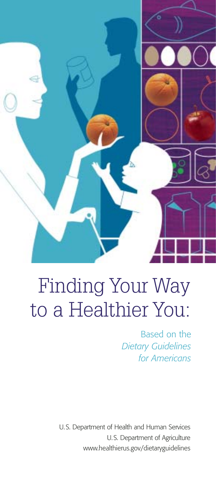

# Finding Your Way to a Healthier You:

Based on the *Dietary Guidelines for Americans* 

U. S. Department of Health and Human Services U. S. Department of Agriculture www.healthierus.gov/dietaryguidelines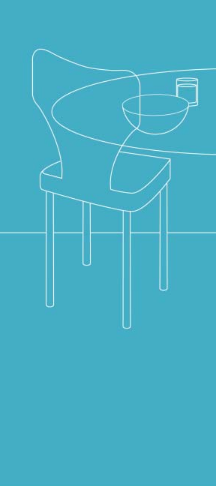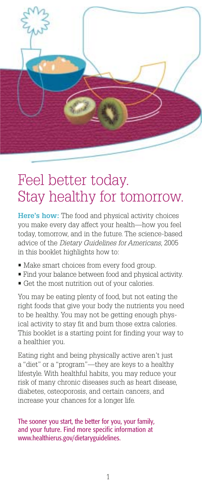

# Feel better today. Stay healthy for tomorrow.

**Here's how:** The food and physical activity choices you make every day affect your health—how you feel today, tomorrow, and in the future. The science-based advice of the Dietary Guidelines for Americans, 2005 in this booklet highlights how to:

- Make smart choices from every food group.
- Find your balance between food and physical activity.
- Get the most nutrition out of your calories.

You may be eating plenty of food, but not eating the right foods that give your body the nutrients you need to be healthy. You may not be getting enough physical activity to stay fit and burn those extra calories. This booklet is a starting point for finding your way to a healthier you.

Eating right and being physically active aren't just a "diet" or a "program"—they are keys to a healthy lifestyle. With healthful habits, you may reduce your risk of many chronic diseases such as heart disease, diabetes, osteoporosis, and certain cancers, and increase your chances for a longer life.

#### The sooner you start, the better for you, your family, and your future. Find more specific information at www.healthierus.gov/dietaryguidelines.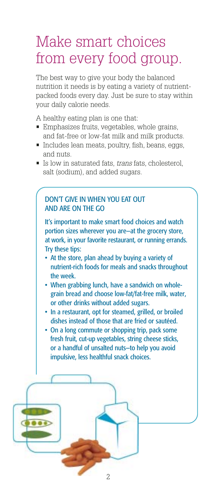## Make smart choices from every food group.

The best way to give your body the balanced nutrition it needs is by eating a variety of nutrientpacked foods every day. Just be sure to stay within your daily calorie needs.

A healthy eating plan is one that:

- Emphasizes fruits, vegetables, whole grains, and fat-free or low-fat milk and milk products.
- Includes lean meats, poultry, fish, beans, eggs, and nuts.
- If Is low in saturated fats, trans fats, cholesterol, salt (sodium), and added sugars.

#### DON'T GIVE IN WHEN YOU EAT OUT AND ARE ON THE GO

It's important to make smart food choices and watch portion sizes wherever you are—at the grocery store, at work, in your favorite restaurant, or running errands. Try these tips:

- At the store, plan ahead by buying a variety of nutrient-rich foods for meals and snacks throughout the week.
- When grabbing lunch, have a sandwich on wholegrain bread and choose low-fat/fat-free milk, water, or other drinks without added sugars.
- In a restaurant, opt for steamed, grilled, or broiled dishes instead of those that are fried or sautéed.
- On a long commute or shopping trip, pack some fresh fruit, cut-up vegetables, string cheese sticks, or a handful of unsalted nuts—to help you avoid impulsive, less healthful snack choices.

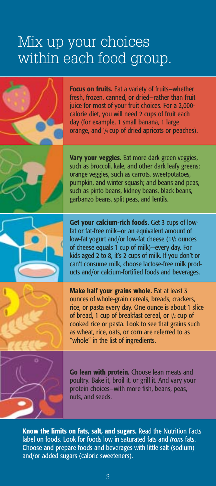### Mix up your choices within each food group.



**Focus on fruits.** Eat a variety of fruits—whether fresh, frozen, canned, or dried—rather than fruit juice for most of your fruit choices. For a 2,000 calorie diet, you will need 2 cups of fruit each day (for example, 1 small banana, 1 large orange, and 1/4 cup of dried apricots or peaches).

**Vary your veggies.** Eat more dark green veggies, such as broccoli, kale, and other dark leafy greens; orange veggies, such as carrots, sweetpotatoes, pumpkin, and winter squash; and beans and peas, such as pinto beans, kidney beans, black beans, garbanzo beans, split peas, and lentils.

**Get your calcium-rich foods.** Get 3 cups of lowfat or fat-free milk—or an equivalent amount of low-fat yogurt and/or low-fat cheese (11/2 ounces of cheese equals 1 cup of milk)—every day. For kids aged 2 to 8, it's 2 cups of milk. If you don't or can't consume milk, choose lactose-free milk products and/or calcium-fortified foods and beverages.

**Make half your grains whole.** Eat at least 3 ounces of whole-grain cereals, breads, crackers, rice, or pasta every day. One ounce is about 1 slice of bread, 1 cup of breakfast cereal, or  $1/2$  cup of cooked rice or pasta. Look to see that grains such as wheat, rice, oats, or corn are referred to as "whole" in the list of ingredients.



**Know the limits on fats, salt, and sugars.** Read the Nutrition Facts label on foods. Look for foods low in saturated fats and *trans* fats. Choose and prepare foods and beverages with little salt (sodium) and/or added sugars (caloric sweeteners).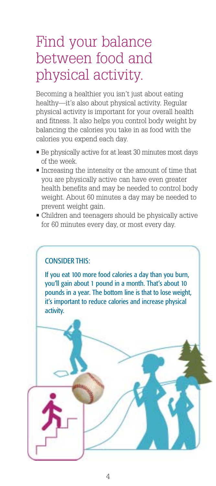# Find your balance between food and physical activity.

Becoming a healthier you isn't just about eating healthy—it's also about physical activity. Regular physical activity is important for your overall health and fitness. It also helps you control body weight by balancing the calories you take in as food with the calories you expend each day.

- Be physically active for at least 30 minutes most days of the week.
- Increasing the intensity or the amount of time that you are physically active can have even greater health benefits and may be needed to control body weight. About 60 minutes a day may be needed to prevent weight gain.
- Children and teenagers should be physically active for 60 minutes every day, or most every day.

#### CONSIDER THIS:

If you eat 100 more food calories a day than you burn, you'll gain about 1 pound in a month. That's about 10 pounds in a year. The bottom line is that to lose weight, it's important to reduce calories and increase physical activity.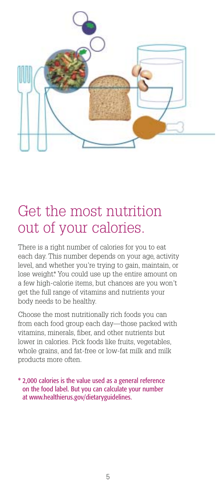

## Get the most nutrition out of your calories.

There is a right number of calories for you to eat each day. This number depends on your age, activity level, and whether you're trying to gain, maintain, or lose weight.\* You could use up the entire amount on a few high-calorie items, but chances are you won't get the full range of vitamins and nutrients your body needs to be healthy.

Choose the most nutritionally rich foods you can from each food group each day—those packed with vitamins, minerals, fiber, and other nutrients but lower in calories. Pick foods like fruits, vegetables, whole grains, and fat-free or low-fat milk and milk products more often.

\* 2,000 calories is the value used as a general reference on the food label. But you can calculate your number at www.healthierus.gov/dietaryguidelines.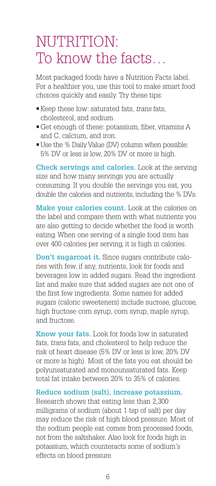## NUTRITION: To know the facts…

Most packaged foods have a Nutrition Facts label. For a healthier you, use this tool to make smart food choices quickly and easily. Try these tips:

- Keep these low: saturated fats, trans fats, cholesterol, and sodium.
- Get enough of these: potassium, fiber, vitamins A and C, calcium, and iron.
- Use the % Daily Value (DV) column when possible: 5% DV or less is low, 20% DV or more is high.

**Check servings and calories.** Look at the serving size and how many servings you are actually consuming. If you double the servings you eat, you double the calories and nutrients, including the % DVs.

**Make your calories count.** Look at the calories on the label and compare them with what nutrients you are also getting to decide whether the food is worth eating. When one serving of a single food item has over 400 calories per serving, it is high in calories.

**Don't sugarcoat it.** Since sugars contribute calories with few, if any, nutrients, look for foods and beverages low in added sugars. Read the ingredient list and make sure that added sugars are not one of the first few ingredients. Some names for added sugars (caloric sweeteners) include sucrose, glucose, high fructose corn syrup, corn syrup, maple syrup, and fructose.

**Know your fats.** Look for foods low in saturated fats, trans fats, and cholesterol to help reduce the risk of heart disease (5% DV or less is low, 20% DV or more is high). Most of the fats you eat should be polyunsaturated and monounsaturated fats. Keep total fat intake between 20% to 35% of calories.

#### **Reduce sodium (salt), increase potassium.**

Research shows that eating less than 2,300 milligrams of sodium (about 1 tsp of salt) per day may reduce the risk of high blood pressure. Most of the sodium people eat comes from processed foods, not from the saltshaker. Also look for foods high in potassium, which counteracts some of sodium's effects on blood pressure.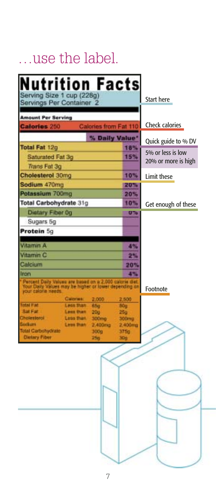# …use the label.

| trition Facts<br>Serving Size 1 cup (228g)<br>ervings Per Container 2<br><b>Amount Per Serving</b>                                                          | Start here                 |
|-------------------------------------------------------------------------------------------------------------------------------------------------------------|----------------------------|
| Calories from Fat 110<br><b>Calories 25</b>                                                                                                                 | Check calories             |
| % Daily Value*                                                                                                                                              |                            |
| <b>Total Fat 12g</b>                                                                                                                                        | Quick guide to % DV<br>18% |
| Saturated Fat 3g                                                                                                                                            | 5% or less is low<br>15%   |
| Trans Fat 3g                                                                                                                                                | 20% or more is high        |
| Cholesterol 30mg                                                                                                                                            | 10%<br>Limit these         |
| Sodium 470mg                                                                                                                                                | 20%                        |
| Potassium 700mg                                                                                                                                             | 20%                        |
| Total Carbohydrate 31g                                                                                                                                      | 10%<br>Get enough of these |
| Dietary Fiber 0g                                                                                                                                            | O%                         |
| Sugars 5g                                                                                                                                                   |                            |
| Protein 5g                                                                                                                                                  |                            |
| Vitamin A                                                                                                                                                   | 4%                         |
| Vitamin C                                                                                                                                                   | 2%                         |
| Calcium                                                                                                                                                     | 209                        |
| Iran                                                                                                                                                        | 4%                         |
| Percent Daily Values are based on a 2,000 calorie diet<br>Your Daily Values may be higher or lower depending on<br>your calone needs.<br>Galeries:<br>2,000 | Footnote<br>2,500          |
| <b>Total Fat</b><br><b>Less than</b><br>6bg                                                                                                                 | BO <sub>B</sub>            |
| <b>Bat Fat</b><br><b>Less than</b><br>20g<br>Chalesterol<br>Less than<br>300mg                                                                              | 25g<br>300mg               |
| Sockum<br>Lines than<br>2.400mg                                                                                                                             | 2.400mg                    |
| Total Carbohydrate<br>300g<br><b>Dietery Fiber</b><br>254                                                                                                   | 375g<br>30g                |
|                                                                                                                                                             |                            |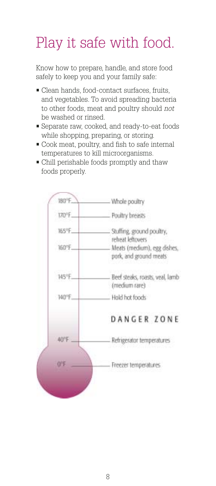# Play it safe with food.

Know how to prepare, handle, and store food safely to keep you and your family safe:

- Clean hands, food-contact surfaces, fruits, and vegetables. To avoid spreading bacteria to other foods, meat and poultry should not be washed or rinsed.
- Separate raw, cooked, and ready-to-eat foods while shopping, preparing, or storing.
- Cook meat, poultry, and fish to safe internal temperatures to kill microorganisms.
- Chill perishable foods promptly and thaw foods properly.

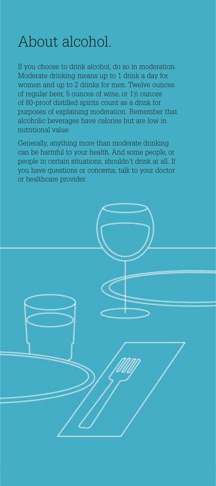# About alcohol.

If you choose to drink alcohol, do so in moderation. Moderate drinking means up to 1 drink a day for women and up to 2 drinks for men. Twelve ounces of regular beer, 5 ounces of wine, or  $1\frac{1}{2}$  ounces of 80-proof distilled spirits count as a drink for purposes of explaining moderation. Remember that alcoholic beverages have calories but are low in nutritional value.

Generally, anything more than moderate drinking can be harmful to your health. And some people, or people in certain situations, shouldn't drink at all. If you have questions or concerns, talk to your doctor or healthcare provider.